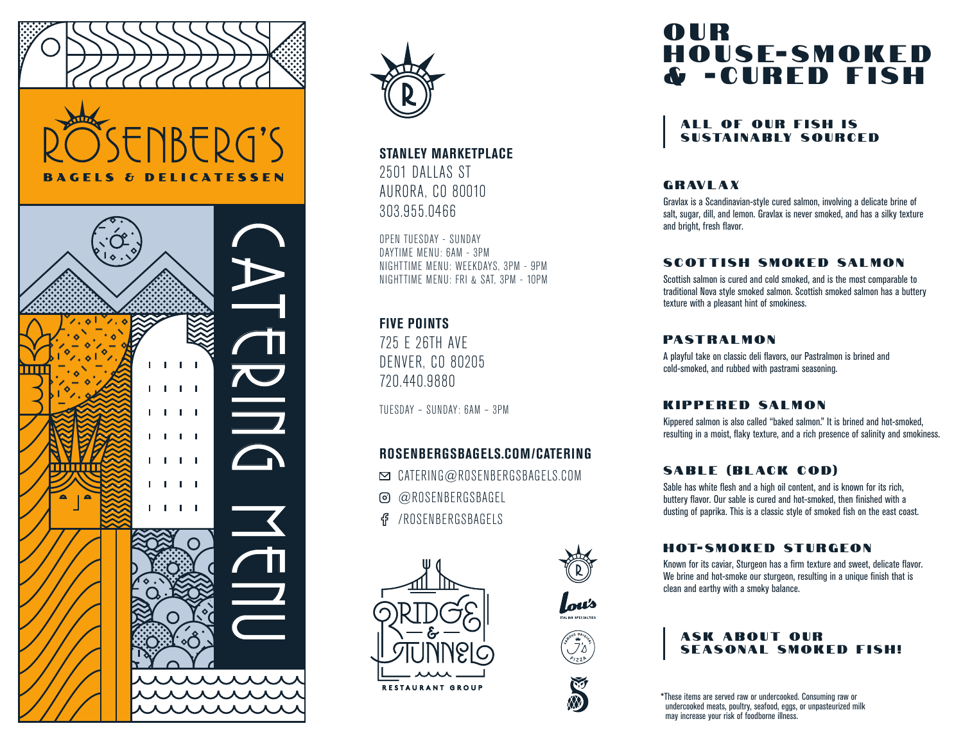







**STANLEY MARKETPLACE** 2501 DALLAS ST AURORA, CO 80010 303.955.0466

OPEN TUESDAY - SUNDAY DAYTIME MENU: 6AM - 3PM NIGHTTIME MENU: WEEKDAYS, 3PM - 9PM NIGHTTIME MENU: FRI & SAT, 3PM - 10PM

#### **FIVE POINTS**

725 E 26TH AVE DENVER, CO 80205 720.440.9880

TUESDAY – SUNDAY: 6AM – 3PM

#### **ROSENBERGSBAGELS.COM/CATERING**

- **M** CATERING@ROSENBERGSBAGELS.COM
- @ROSENBERGSBAGEL
- /ROSENBERGSBAGELS



### OUR **HOUSE-SMOKED** & -CURED FISH

#### ALL OF OUR FISH IS **SUSTAINABLY SOURCED**

#### **GRAVLAX**

Gravlax is a Scandinavian-style cured salmon, involving a delicate brine of salt, sugar, dill, and lemon. Gravlax is never smoked, and has a silky texture and bright, fresh flavor.

#### **SCOTTISH SMOKED SALMON**

Scottish salmon is cured and cold smoked, and is the most comparable to traditional Nova style smoked salmon. Scottish smoked salmon has a buttery texture with a pleasant hint of smokiness.

#### **PASTRALMON**

A playful take on classic deli flavors, our Pastralmon is brined and cold-smoked, and rubbed with pastrami seasoning.

#### KIPPERED SALMON

Kippered salmon is also called "baked salmon." It is brined and hot-smoked, resulting in a moist, flaky texture, and a rich presence of salinity and smokiness.

#### **SABLE (BLACK COD)**

Sable has white flesh and a high oil content, and is known for its rich, buttery flavor. Our sable is cured and hot-smoked, then finished with a dusting of paprika. This is a classic style of smoked fish on the east coast.

#### **HOT-SMOKED STURGEON**

Known for its caviar, Sturgeon has a firm texture and sweet, delicate flavor. We brine and hot-smoke our sturgeon, resulting in a unique finish that is clean and earthy with a smoky balance.

#### ASK ABOUT OUR SEASONAL SMOKED FISH!

\*These items are served raw or undercooked. Consuming raw or undercooked meats, poultry, seafood, eggs, or unpasteurized milk may increase your risk of foodborne illness.